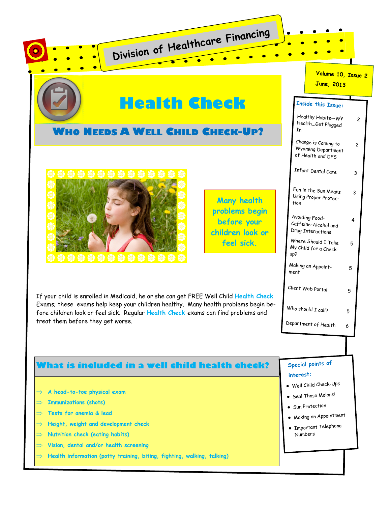|                                   |                                                                                                                                                                                                                                                                  |                                                             | Volume 10, Issue 2<br><b>June, 2013</b>                                                                                                          |
|-----------------------------------|------------------------------------------------------------------------------------------------------------------------------------------------------------------------------------------------------------------------------------------------------------------|-------------------------------------------------------------|--------------------------------------------------------------------------------------------------------------------------------------------------|
|                                   | Health Check<br><b>WHO NEEDS A WELL CHILD CHECK-UP?</b>                                                                                                                                                                                                          | In                                                          | Inside this Issue:<br>Healthy Habits-Wy<br>HealthGet Plugged<br>Change is Coming to<br>$\overline{c}$<br>Wyoming Department                      |
|                                   |                                                                                                                                                                                                                                                                  | <b>Many health</b><br>tion<br>problems begin<br>before your | of Health and DFS<br>Infant Dental Care<br>3<br>Fun in the Sun Means<br>3<br>Using Proper Protec-<br>Avoiding Food-<br>4<br>Caffeine-Alcohol and |
|                                   |                                                                                                                                                                                                                                                                  | children look or<br>feel sick.<br>up?<br>ment               | Drug Interactions<br>Where Should I Take<br>5<br>My Child for a Check-<br>Making an Appoint-<br>5<br>Client Web Portal<br>5                      |
| treat them before they get worse. | If your child is enrolled in Medicaid, he or she can get FREE Well Child Health Check<br>Exams; these exams help keep your children healthy. Many health problems begin be-<br>fore children look or feel sick. Regular Health Check exams can find problems and |                                                             | Who should I call?<br>5<br>Department of Health<br>6                                                                                             |
|                                   |                                                                                                                                                                                                                                                                  |                                                             | Special points of                                                                                                                                |
|                                   | What is included in a well child health check?                                                                                                                                                                                                                   | interest:                                                   |                                                                                                                                                  |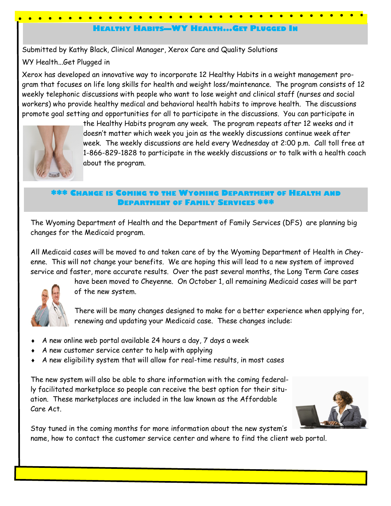# **HEALTHY HABITS—WY HEALTH...GET PLUGGED IN**

Submitted by Kathy Black, Clinical Manager, Xerox Care and Quality Solutions

WY Health...Get Plugged in

Xerox has developed an innovative way to incorporate 12 Healthy Habits in a weight management program that focuses on life long skills for health and weight loss/maintenance. The program consists of 12 weekly telephonic discussions with people who want to lose weight and clinical staff (nurses and social workers) who provide healthy medical and behavioral health habits to improve health. The discussions promote goal setting and opportunities for all to participate in the discussions. You can participate in



the Healthy Habits program any week. The program repeats after 12 weeks and it doesn't matter which week you join as the weekly discussions continue week after week. The weekly discussions are held every Wednesday at 2:00 p.m. Call toll free at 1-866-829-1828 to participate in the weekly discussions or to talk with a health coach about the program.

## **\*\*\* CHANGE IS COMING TO THE WYOMING DEPARTMENT OF HEALTH AND DEPARTMENT OF FAMILY SERVICES \*\*\***

The Wyoming Department of Health and the Department of Family Services (DFS) are planning big changes for the Medicaid program.

All Medicaid cases will be moved to and taken care of by the Wyoming Department of Health in Cheyenne. This will not change your benefits. We are hoping this will lead to a new system of improved service and faster, more accurate results. Over the past several months, the Long Term Care cases



have been moved to Cheyenne. On October 1, all remaining Medicaid cases will be part of the new system.

There will be many changes designed to make for a better experience when applying for, renewing and updating your Medicaid case. These changes include:

- $\bullet$  A new online web portal available 24 hours a day, 7 days a week
- A new customer service center to help with applying
- A new eligibility system that will allow for real-time results, in most cases

The new system will also be able to share information with the coming federally facilitated marketplace so people can receive the best option for their situation. These marketplaces are included in the law known as the Affordable Care Act.



Stay tuned in the coming months for more information about the new system's name, how to contact the customer service center and where to find the client web portal.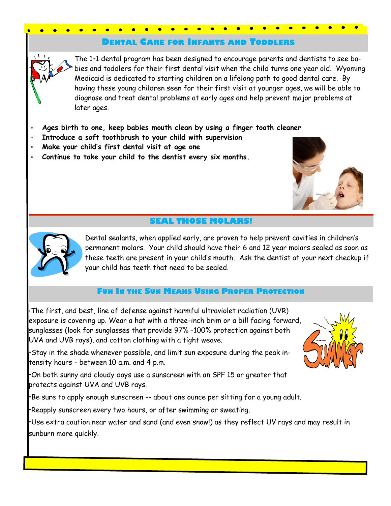## **DENTAL CARE FOR INFANTS AND TODDLERS**

The 1+1 dental program has been designed to encourage parents and dentists to see babies and toddlers for their first dental visit when the child turns one year old. Wyoming Medicaid is dedicated to starting children on a lifelong path to good dental care. By having these young children seen for their first visit at younger ages, we will be able to diagnose and treat dental problems at early ages and help prevent major problems at later ages.

- **Ages birth to one, keep babies mouth clean by using a finger tooth cleaner**
- **Introduce a soft toothbrush to your child with supervision**
- **Make your child's first dental visit at age one**
- **Continue to take your child to the dentist every six months.**



# **SEAL THOSE MOLARS!**



Dental sealants, when applied early, are proven to help prevent cavities in children's permanent molars. Your child should have their 6 and 12 year molars sealed as soon as these teeth are present in your child's mouth. Ask the dentist at your next checkup if your child has teeth that need to be sealed.

## **FUN IN THE SUN MEANS USING PROPER PROTECTION**

•The first, and best, line of defense against harmful ultraviolet radiation (UVR) exposure is covering up. Wear a hat with a three-inch brim or a bill facing forward, sunglasses (look for sunglasses that provide 97% -100% protection against both UVA and UVB rays), and cotton clothing with a tight weave.

•Stay in the shade whenever possible, and limit sun exposure during the peak intensity hours - between 10 a.m. and 4 p.m.

•On both sunny and cloudy days use a sunscreen with an SPF 15 or greater that protects against UVA and UVB rays.

•Be sure to apply enough sunscreen -- about one ounce per sitting for a young adult.

•Reapply sunscreen every two hours, or after swimming or sweating.

•Use extra caution near water and sand (and even snow!) as they reflect UV rays and may result in sunburn more quickly.

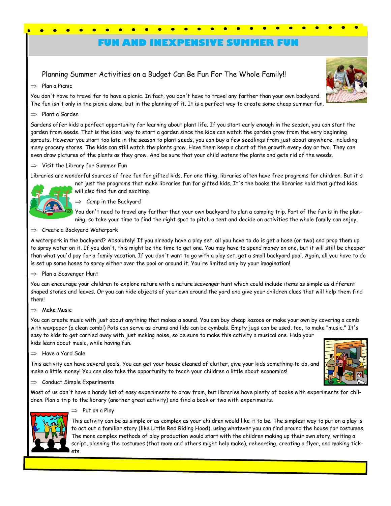# **FUN AND INEXPENSIVE SUMMER FUN**

## Planning Summer Activities on a Budget Can Be Fun For The Whole Family!!

#### $\implies$  Plan a Picnic

You don't have to travel far to have a picnic. In fact, you don't have to travel any farther than your own backyard. The fun isn't only in the picnic alone, but in the planning of it. It is a perfect way to create some cheap summer fun.

#### $\implies$  Plant a Garden

Gardens offer kids a perfect opportunity for learning about plant life. If you start early enough in the season, you can start the garden from seeds. That is the ideal way to start a garden since the kids can watch the garden grow from the very beginning sprouts. However you start too late in the season to plant seeds, you can buy a few seedlings from just about anywhere, including many grocery stores. The kids can still watch the plants grow. Have them keep a chart of the growth every day or two. They can even draw pictures of the plants as they grow. And be sure that your child waters the plants and gets rid of the weeds.

#### $\Rightarrow$  Visit the Library for Summer Fun

Libraries are wonderful sources of free fun for gifted kids. For one thing, libraries often have free programs for children. But it's



 $\Rightarrow$  Camp in the Backyard

You don't need to travel any farther than your own backyard to plan a camping trip. Part of the fun is in the planning, so take your time to find the right spot to pitch a tent and decide on activities the whole family can enjoy.

 $\Rightarrow$  Create a Backyard Waterpark

A waterpark in the backyard? Absolutely! If you already have a play set, all you have to do is get a hose (or two) and prop them up to spray water on it. If you don't, this might be the time to get one. You may have to spend money on one, but it will still be cheaper than what you'd pay for a family vacation. If you don't want to go with a play set, get a small backyard pool. Again, all you have to do is set up some hoses to spray either over the pool or around it. You're limited only by your imagination!

 $\implies$  Plan a Scavenger Hunt

You can encourage your children to explore nature with a nature scavenger hunt which could include items as simple as different shaped stones and leaves. Or you can hide objects of your own around the yard and give your children clues that will help them find them!

 $\Rightarrow$  Make Music

You can create music with just about anything that makes a sound. You can buy cheap kazoos or make your own by covering a comb with waxpaper (a clean comb!) Pots can serve as drums and lids can be cymbals. Empty jugs can be used, too, to make "music." It's easy to kids to get carried away with just making noise, so be sure to make this activity a musical one. Help your kids learn about music, while having fun.

 $\Rightarrow$  Have a Yard Sale

This activity can have several goals. You can get your house cleaned of clutter, give your kids something to do, and make a little money! You can also take the opportunity to teach your children a little about economics!



 $\Rightarrow$  Conduct Simple Experiments

Most of us don't have a handy list of easy experiments to draw from, but libraries have plenty of books with experiments for children. Plan a trip to the library (another great activity) and find a book or two with experiments.



#### $\Rightarrow$  Put on a Play

This activity can be as simple or as complex as your children would like it to be. The simplest way to put on a play is to act out a familiar story (like Little Red Riding Hood), using whatever you can find around the house for costumes. The more complex methods of play production would start with the children making up their own story, writing a script, planning the costumes (that mom and others might help make), rehearsing, creating a flyer, and making tickets.

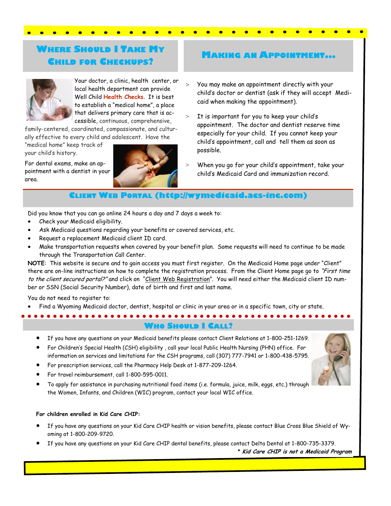# **WHERE SHOULD I TAKE MY CHILD FOR CHECKUPS?**



Your doctor, a clinic, health center, or local health department can provide Well Child **Health Checks**. It is best to establish a "medical home", a place that delivers primary care that is accessible, continuous, comprehensive,

family-centered, coordinated, compassionate, and culturally effective to every child and adolescent. Have the

"medical home" keep track of your child's history.

For dental exams, make an appointment with a dentist in your area.

<u>. . . . . . .</u>



# **MAKING AN APPOINTMENT...**

- You may make an appointment directly with your child's doctor or dentist (ask if they will accept Medicaid when making the appointment).
- It is important for you to keep your child's appointment. The doctor and dentist reserve time especially for your child. If you cannot keep your child's appointment, call and tell them as soon as possible.
- When you go for your child's appointment, take your child's Medicaid Card and immunization record.

# **ELIENT WEB PORTAL (http://wymedicaid.acs-inc.com)**

Did you know that you can go online 24 hours a day and 7 days a week to:

- Check your Medicaid eligibility.
- Ask Medicaid questions regarding your benefits or covered services, etc.
- Request a replacement Medicaid client ID card.
- Make transportation requests when covered by your benefit plan. Some requests will need to continue to be made through the Transportation Call Center.

**NOTE**: This website is secure and to gain access you must first register. On the Medicaid Home page under "Client" there are on-line instructions on how to complete the registration process. From the Client Home page go to "First time to the client secured portal?" and click on "Client Web Registration". You will need either the Medicaid client ID number or SSN (Social Security Number), date of birth and first and last name.

You do not need to register to:

Find a Wyoming Medicaid doctor, dentist, hospital or clinic in your area or in a specific town, city or state.

**WHO SHOULD I CALL?**

- If you have any questions on your Medicaid benefits please contact Client Relations at 1-800-251-1269.
- For Children's Special Health (CSH) eligibility , call your local Public Health Nursing (PHN) office. For information on services and limitations for the CSH programs, call (307) 777-7941 or 1-800-438-5795.
- For prescription services, call the Pharmacy Help Desk at 1-877-209-1264.
- For travel reimbursement, call 1-800-595-0011.
- To apply for assistance in purchasing nutritional food items (i.e. formula, juice, milk, eggs, etc.) through the Women, Infants, and Children (WIC) program, contact your local WIC office.

#### **For children enrolled in Kid Care CHIP:**

- If you have any questions on your Kid Care CHIP health or vision benefits, please contact Blue Cross Blue Shield of Wyoming at 1-800-209-9720.
- If you have any questions on your Kid Care CHIP dental benefits, please contact Delta Dental at 1-800-735-3379.

\* **Kid Care CHIP is not a Medicaid Program**